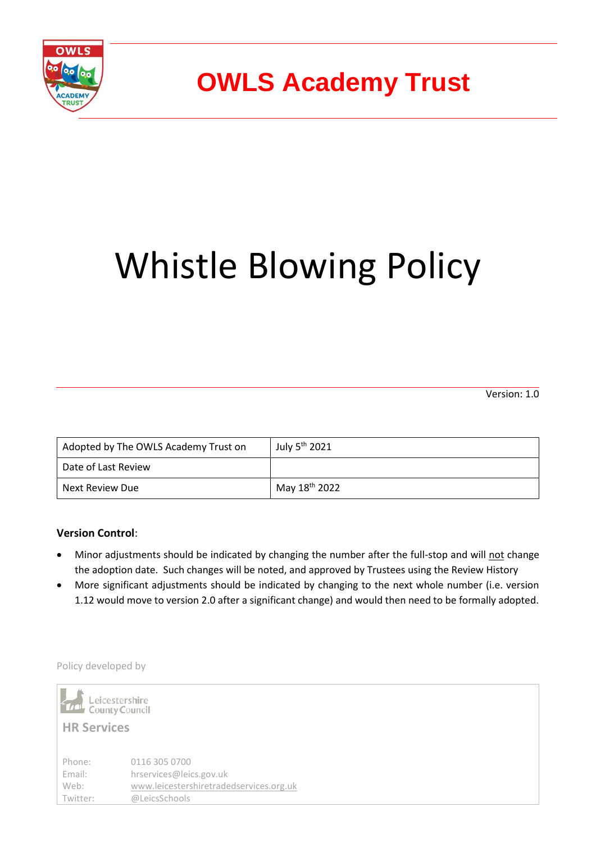

# **OWLS Academy Trust**

# Whistle Blowing Policy

Version: 1.0

| Adopted by The OWLS Academy Trust on | July 5 <sup>th</sup> 2021 |
|--------------------------------------|---------------------------|
| Date of Last Review                  |                           |
| Next Review Due                      | May 18 <sup>th</sup> 2022 |

### **Version Control**:

- Minor adjustments should be indicated by changing the number after the full-stop and will not change the adoption date. Such changes will be noted, and approved by Trustees using the Review History
- More significant adjustments should be indicated by changing to the next whole number (i.e. version 1.12 would move to version 2.0 after a significant change) and would then need to be formally adopted.

Policy developed by

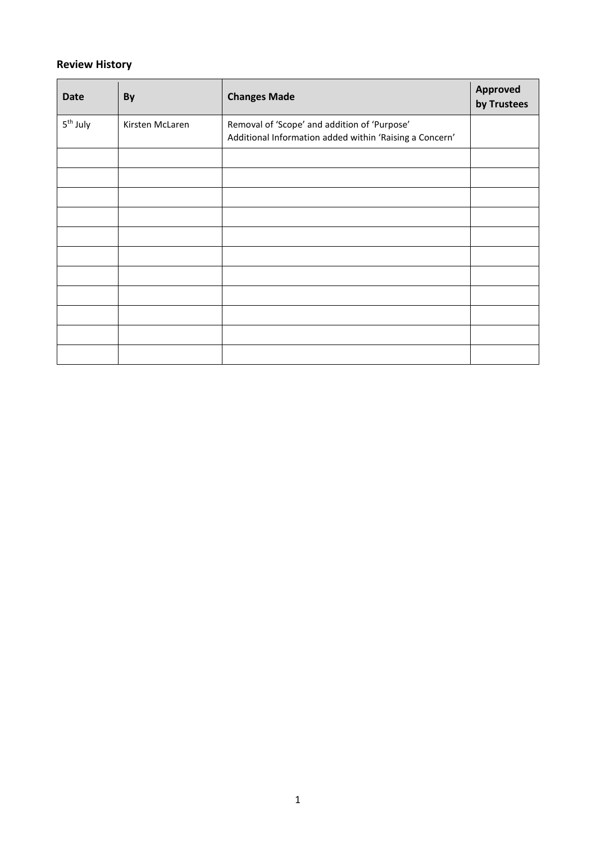## **Review History**

| <b>Date</b>          | By              | <b>Changes Made</b>                                                                                     | Approved<br>by Trustees |
|----------------------|-----------------|---------------------------------------------------------------------------------------------------------|-------------------------|
| 5 <sup>th</sup> July | Kirsten McLaren | Removal of 'Scope' and addition of 'Purpose'<br>Additional Information added within 'Raising a Concern' |                         |
|                      |                 |                                                                                                         |                         |
|                      |                 |                                                                                                         |                         |
|                      |                 |                                                                                                         |                         |
|                      |                 |                                                                                                         |                         |
|                      |                 |                                                                                                         |                         |
|                      |                 |                                                                                                         |                         |
|                      |                 |                                                                                                         |                         |
|                      |                 |                                                                                                         |                         |
|                      |                 |                                                                                                         |                         |
|                      |                 |                                                                                                         |                         |
|                      |                 |                                                                                                         |                         |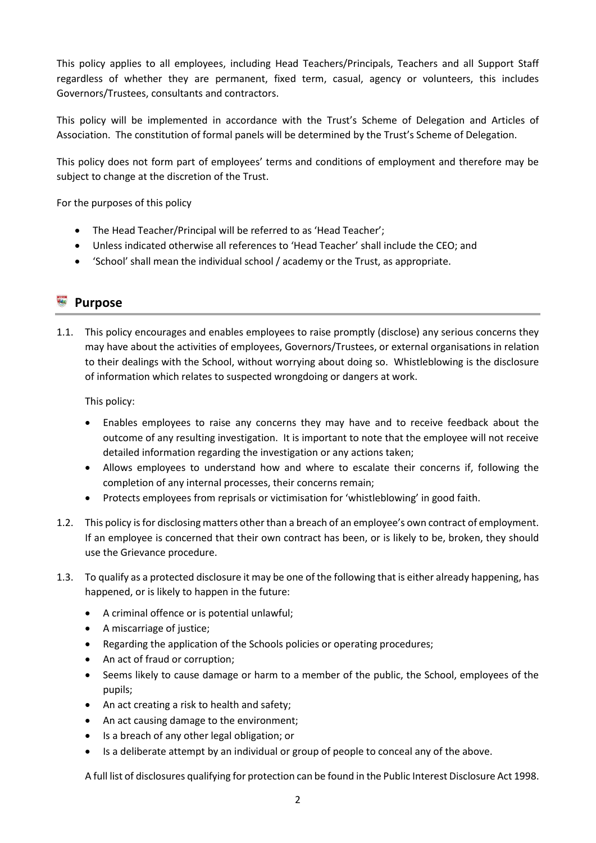This policy applies to all employees, including Head Teachers/Principals, Teachers and all Support Staff regardless of whether they are permanent, fixed term, casual, agency or volunteers, this includes Governors/Trustees, consultants and contractors.

This policy will be implemented in accordance with the Trust's Scheme of Delegation and Articles of Association. The constitution of formal panels will be determined by the Trust's Scheme of Delegation.

This policy does not form part of employees' terms and conditions of employment and therefore may be subject to change at the discretion of the Trust.

For the purposes of this policy

- The Head Teacher/Principal will be referred to as 'Head Teacher';
- Unless indicated otherwise all references to 'Head Teacher' shall include the CEO; and
- 'School' shall mean the individual school / academy or the Trust, as appropriate.

# **B** Purpose

1.1. This policy encourages and enables employees to raise promptly (disclose) any serious concerns they may have about the activities of employees, Governors/Trustees, or external organisations in relation to their dealings with the School, without worrying about doing so. Whistleblowing is the disclosure of information which relates to suspected wrongdoing or dangers at work.

This policy:

- Enables employees to raise any concerns they may have and to receive feedback about the outcome of any resulting investigation. It is important to note that the employee will not receive detailed information regarding the investigation or any actions taken;
- Allows employees to understand how and where to escalate their concerns if, following the completion of any internal processes, their concerns remain;
- Protects employees from reprisals or victimisation for 'whistleblowing' in good faith.
- 1.2. This policy is for disclosing matters other than a breach of an employee's own contract of employment. If an employee is concerned that their own contract has been, or is likely to be, broken, they should use the Grievance procedure.
- 1.3. To qualify as a protected disclosure it may be one of the following that is either already happening, has happened, or is likely to happen in the future:
	- A criminal offence or is potential unlawful;
	- A miscarriage of justice;
	- Regarding the application of the Schools policies or operating procedures;
	- An act of fraud or corruption;
	- Seems likely to cause damage or harm to a member of the public, the School, employees of the pupils;
	- An act creating a risk to health and safety;
	- An act causing damage to the environment;
	- Is a breach of any other legal obligation; or
	- Is a deliberate attempt by an individual or group of people to conceal any of the above.

A full list of disclosures qualifying for protection can be found in the Public Interest Disclosure Act 1998.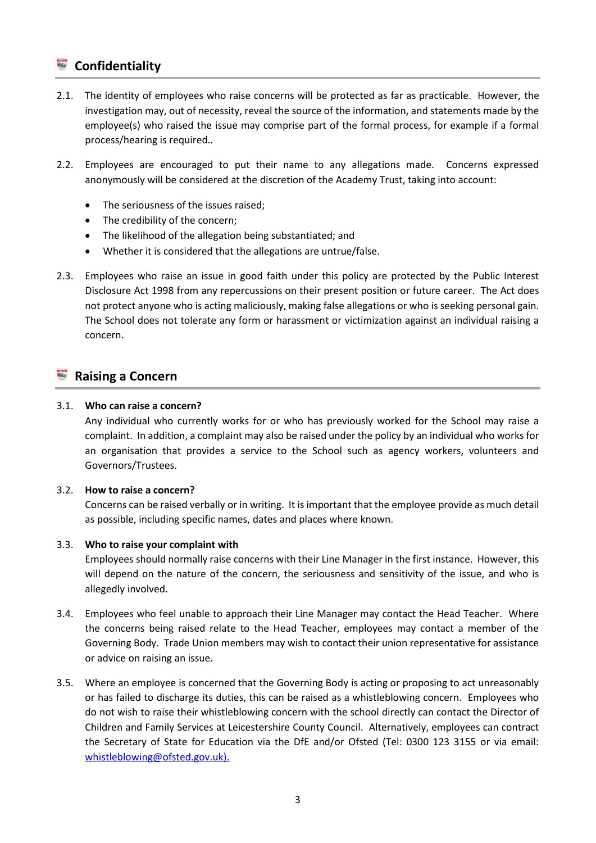# **Confidentiality**

- 2.1. The identity of employees who raise concerns will be protected as far as practicable. However, the investigation may, out of necessity, reveal the source of the information, and statements made by the employee(s) who raised the issue may comprise part of the formal process, for example if a formal process/hearing is required..
- 2.2. Employees are encouraged to put their name to any allegations made. Concerns expressed anonymously will be considered at the discretion of the Academy Trust, taking into account:
	- The seriousness of the issues raised;
	- The credibility of the concern;
	- The likelihood of the allegation being substantiated; and
	- Whether it is considered that the allegations are untrue/false.
- 2.3. Employees who raise an issue in good faith under this policy are protected by the Public Interest Disclosure Act 1998 from any repercussions on their present position or future career. The Act does not protect anyone who is acting maliciously, making false allegations or who is seeking personal gain. The School does not tolerate any form or harassment or victimization against an individual raising a concern.

# **Raising a Concern**

#### 3.1. **Who can raise a concern?**

Any individual who currently works for or who has previously worked for the School may raise a complaint. In addition, a complaint may also be raised under the policy by an individual who works for an organisation that provides a service to the School such as agency workers, volunteers and Governors/Trustees.

#### 3.2. **How to raise a concern?**

Concerns can be raised verbally or in writing. It is important that the employee provide as much detail as possible, including specific names, dates and places where known.

#### 3.3. **Who to raise your complaint with**

Employees should normally raise concerns with their Line Manager in the first instance. However, this will depend on the nature of the concern, the seriousness and sensitivity of the issue, and who is allegedly involved.

- 3.4. Employees who feel unable to approach their Line Manager may contact the Head Teacher. Where the concerns being raised relate to the Head Teacher, employees may contact a member of the Governing Body. Trade Union members may wish to contact their union representative for assistance or advice on raising an issue.
- 3.5. Where an employee is concerned that the Governing Body is acting or proposing to act unreasonably or has failed to discharge its duties, this can be raised as a whistleblowing concern. Employees who do not wish to raise their whistleblowing concern with the school directly can contact the Director of Children and Family Services at Leicestershire County Council. Alternatively, employees can contract the Secretary of State for Education via the DfE and/or Ofsted (Tel: 0300 123 3155 or via email: [whistleblowing@ofsted.gov.uk\).](mailto:whistleblowing@ofsted.gov.uk).)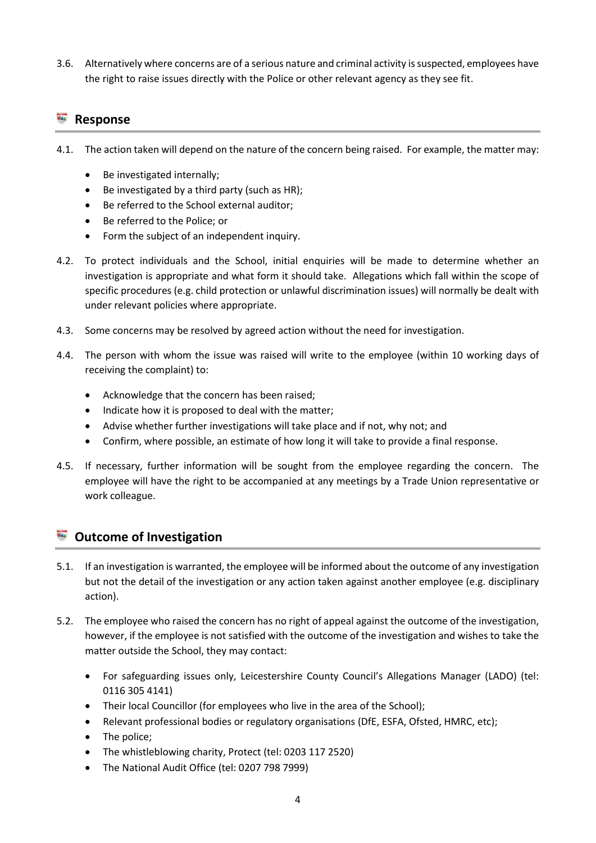3.6. Alternatively where concerns are of a serious nature and criminal activity is suspected, employees have the right to raise issues directly with the Police or other relevant agency as they see fit.

# **Response**

- 4.1. The action taken will depend on the nature of the concern being raised. For example, the matter may:
	- Be investigated internally;
	- Be investigated by a third party (such as HR);
	- Be referred to the School external auditor:
	- Be referred to the Police; or
	- Form the subject of an independent inquiry.
- 4.2. To protect individuals and the School, initial enquiries will be made to determine whether an investigation is appropriate and what form it should take. Allegations which fall within the scope of specific procedures (e.g. child protection or unlawful discrimination issues) will normally be dealt with under relevant policies where appropriate.
- 4.3. Some concerns may be resolved by agreed action without the need for investigation.
- 4.4. The person with whom the issue was raised will write to the employee (within 10 working days of receiving the complaint) to:
	- Acknowledge that the concern has been raised;
	- Indicate how it is proposed to deal with the matter;
	- Advise whether further investigations will take place and if not, why not; and
	- Confirm, where possible, an estimate of how long it will take to provide a final response.
- 4.5. If necessary, further information will be sought from the employee regarding the concern. The employee will have the right to be accompanied at any meetings by a Trade Union representative or work colleague.

# **Outcome of Investigation**

- 5.1. If an investigation is warranted, the employee will be informed about the outcome of any investigation but not the detail of the investigation or any action taken against another employee (e.g. disciplinary action).
- 5.2. The employee who raised the concern has no right of appeal against the outcome of the investigation, however, if the employee is not satisfied with the outcome of the investigation and wishes to take the matter outside the School, they may contact:
	- For safeguarding issues only, Leicestershire County Council's Allegations Manager (LADO) (tel: 0116 305 4141)
	- Their local Councillor (for employees who live in the area of the School);
	- Relevant professional bodies or regulatory organisations (DfE, ESFA, Ofsted, HMRC, etc);
	- The police;
	- The whistleblowing charity, Protect (tel: 0203 117 2520)
	- The National Audit Office (tel: 0207 798 7999)